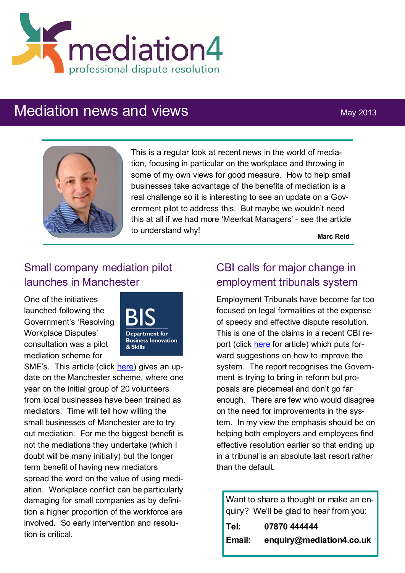

# Mediation news and views May 2013



This is a regular look at recent news in the world of mediation, focusing in particular on the workplace and throwing in some of my own views for good measure. How to help small businesses take advantage of the benefits of mediation is a real challenge so it is interesting to see an update on a Government pilot to address this. But maybe we wouldn't need this at all if we had more 'Meerkat Managers' - see the article to understand why!

**Marc Reid**

## Small company mediation pilot launches in Manchester

One of the initiatives launched following the Government's 'Resolving Workplace Disputes' consultation was a pilot mediation scheme for



SME's. This article (click [here\)](http://bdaily.co.uk/entrepreneurship/13-05-2013/manchester-to-trial-government-employment-tribunal-project/) gives an update on the Manchester scheme, where one year on the initial group of 20 volunteers from local businesses have been trained as mediators. Time will tell how willing the small businesses of Manchester are to try out mediation. For me the biggest benefit is not the mediations they undertake (which I doubt will be many initially) but the longer term benefit of having new mediators spread the word on the value of using mediation. Workplace conflict can be particularly damaging for small companies as by definition a higher proportion of the workforce are involved. So early intervention and resolution is critical.

### CBI calls for major change in employment tribunals system

Employment Tribunals have become far too focused on legal formalities at the expense of speedy and effective dispute resolution. This is one of the claims in a recent CBI report (click [here](http://www.hrmagazine.co.uk/hro/news/1076816/change-legalistic-culture-tribunals-cbi?utm_content=Change%20%22legalistic%22%20culture%20of%20tribunals%2C%20says%20CBI&utm_campaign=HR%20magazine%20news%2003%20April%202013&utm_source=HR%20Magazine&utm_medium=) for article) which puts forward suggestions on how to improve the system. The report recognises the Government is trying to bring in reform but proposals are piecemeal and don't go far enough. There are few who would disagree on the need for improvements in the system. In my view the emphasis should be on helping both employers and employees find effective resolution earlier so that ending up in a tribunal is an absolute last resort rather than the default.

Want to share a thought or make an enquiry? We'll be glad to hear from you: **Tel: 07870 444444 Email: enquiry@mediation4.co.uk**